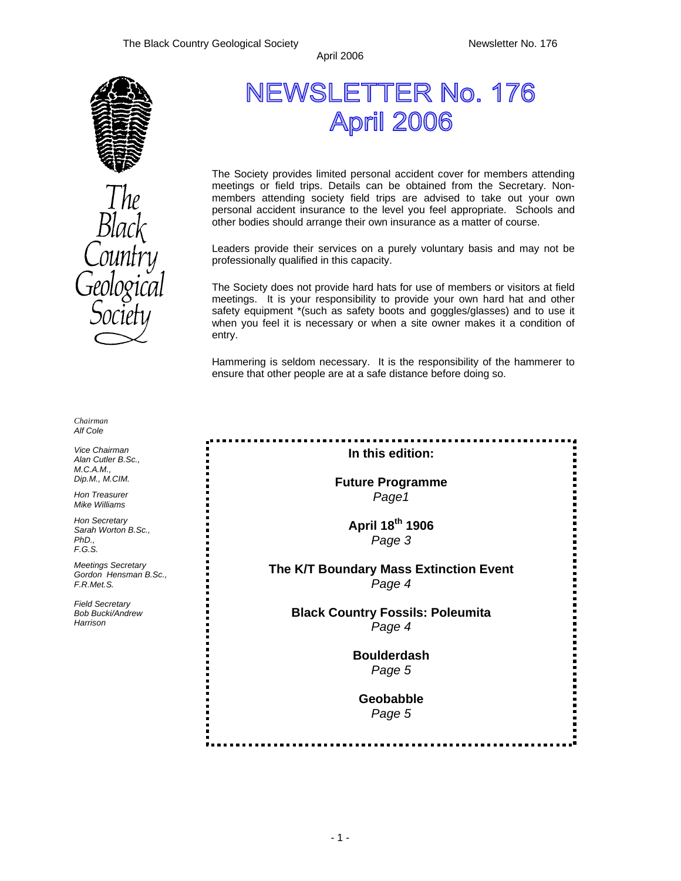

*Chairman Alf Cole* 

*Vice Chairman Alan Cutler B.Sc., M.C.A.M., Dip.M., M.CIM.* 

*Hon Treasurer Mike Williams* 

*Hon Secretary Sarah Worton B.Sc., PhD., F.G.S.* 

*Meetings Secretary Gordon Hensman B.Sc., F.R.Met.S.* 

*Field Secretary Bob Bucki/Andrew Harrison* 

NEWSLETTER No. 176 April 2006

The Society provides limited personal accident cover for members attending meetings or field trips. Details can be obtained from the Secretary. Nonmembers attending society field trips are advised to take out your own personal accident insurance to the level you feel appropriate. Schools and other bodies should arrange their own insurance as a matter of course.

Leaders provide their services on a purely voluntary basis and may not be professionally qualified in this capacity.

The Society does not provide hard hats for use of members or visitors at field meetings. It is your responsibility to provide your own hard hat and other safety equipment \*(such as safety boots and goggles/glasses) and to use it when you feel it is necessary or when a site owner makes it a condition of entry.

Hammering is seldom necessary. It is the responsibility of the hammerer to ensure that other people are at a safe distance before doing so.

**In this edition:** 

**Future Programme**  *Page1* 

> **April 18th 1906**  *Page 3*

### **The K/T Boundary Mass Extinction Event**  *Page 4*

**Black Country Fossils: Poleumita**  *Page 4* 

> **Boulderdash**  *Page 5*

**Geobabble**  *Page 5*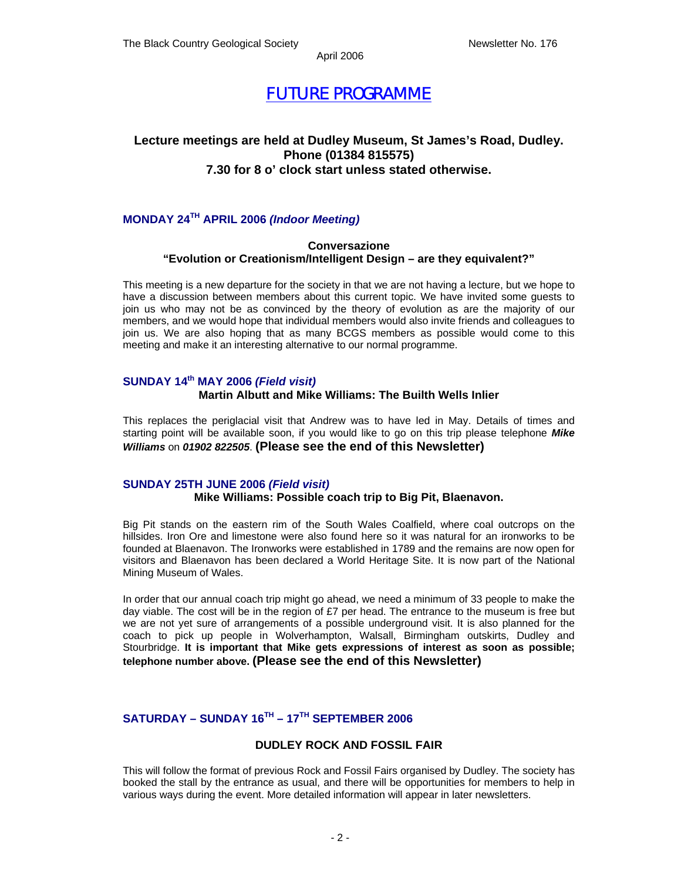### *FUTURE PROGRAMME*

### **Lecture meetings are held at Dudley Museum, St James's Road, Dudley. Phone (01384 815575) 7.30 for 8 o' clock start unless stated otherwise.**

### **MONDAY 24TH APRIL 2006** *(Indoor Meeting)*

### **Conversazione "Evolution or Creationism/Intelligent Design – are they equivalent?"**

This meeting is a new departure for the society in that we are not having a lecture, but we hope to have a discussion between members about this current topic. We have invited some guests to join us who may not be as convinced by the theory of evolution as are the majority of our members, and we would hope that individual members would also invite friends and colleagues to join us. We are also hoping that as many BCGS members as possible would come to this meeting and make it an interesting alternative to our normal programme.

### **SUNDAY 14th MAY 2006** *(Field visit)*

### **Martin Albutt and Mike Williams: The Builth Wells Inlier**

This replaces the periglacial visit that Andrew was to have led in May. Details of times and starting point will be available soon, if you would like to go on this trip please telephone *Mike Williams* on *01902 822505*. **(Please see the end of this Newsletter)** 

### **SUNDAY 25TH JUNE 2006** *(Field visit)*

### **Mike Williams: Possible coach trip to Big Pit, Blaenavon.**

Big Pit stands on the eastern rim of the South Wales Coalfield, where coal outcrops on the hillsides. Iron Ore and limestone were also found here so it was natural for an ironworks to be founded at Blaenavon. The Ironworks were established in 1789 and the remains are now open for visitors and Blaenavon has been declared a World Heritage Site. It is now part of the National Mining Museum of Wales.

In order that our annual coach trip might go ahead, we need a minimum of 33 people to make the day viable. The cost will be in the region of £7 per head. The entrance to the museum is free but we are not yet sure of arrangements of a possible underground visit. It is also planned for the coach to pick up people in Wolverhampton, Walsall, Birmingham outskirts, Dudley and Stourbridge. **It is important that Mike gets expressions of interest as soon as possible; telephone number above. (Please see the end of this Newsletter)** 

### **SATURDAY – SUNDAY 16TH – 17TH SEPTEMBER 2006**

### **DUDLEY ROCK AND FOSSIL FAIR**

This will follow the format of previous Rock and Fossil Fairs organised by Dudley. The society has booked the stall by the entrance as usual, and there will be opportunities for members to help in various ways during the event. More detailed information will appear in later newsletters.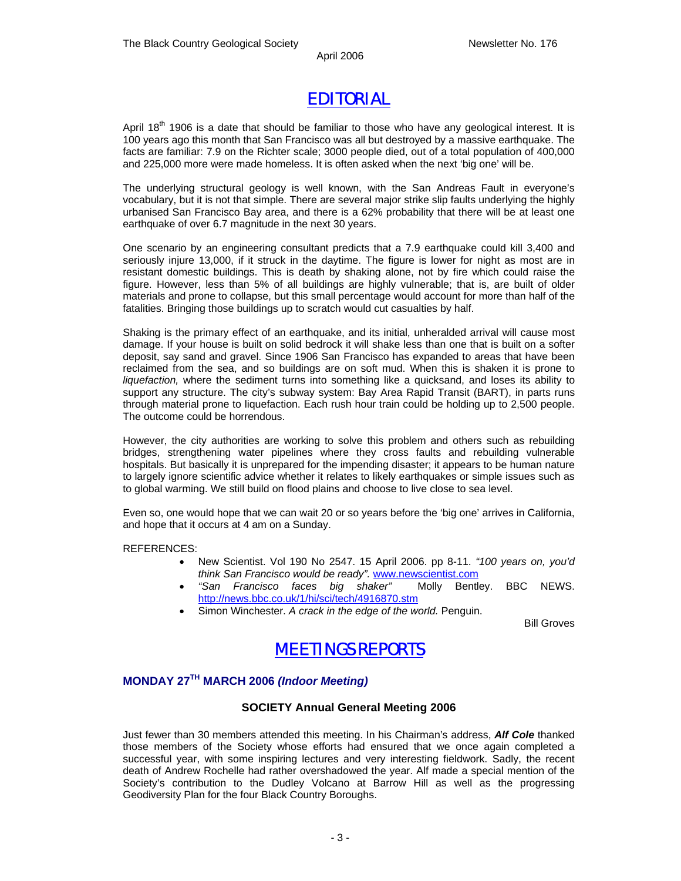## *EDITORIAL*

April 18<sup>th</sup> 1906 is a date that should be familiar to those who have any geological interest. It is 100 years ago this month that San Francisco was all but destroyed by a massive earthquake. The facts are familiar: 7.9 on the Richter scale; 3000 people died, out of a total population of 400,000 and 225,000 more were made homeless. It is often asked when the next 'big one' will be.

The underlying structural geology is well known, with the San Andreas Fault in everyone's vocabulary, but it is not that simple. There are several major strike slip faults underlying the highly urbanised San Francisco Bay area, and there is a 62% probability that there will be at least one earthquake of over 6.7 magnitude in the next 30 years.

One scenario by an engineering consultant predicts that a 7.9 earthquake could kill 3,400 and seriously injure 13,000, if it struck in the daytime. The figure is lower for night as most are in resistant domestic buildings. This is death by shaking alone, not by fire which could raise the figure. However, less than 5% of all buildings are highly vulnerable; that is, are built of older materials and prone to collapse, but this small percentage would account for more than half of the fatalities. Bringing those buildings up to scratch would cut casualties by half.

Shaking is the primary effect of an earthquake, and its initial, unheralded arrival will cause most damage. If your house is built on solid bedrock it will shake less than one that is built on a softer deposit, say sand and gravel. Since 1906 San Francisco has expanded to areas that have been reclaimed from the sea, and so buildings are on soft mud. When this is shaken it is prone to *liquefaction,* where the sediment turns into something like a quicksand, and loses its ability to support any structure. The city's subway system: Bay Area Rapid Transit (BART), in parts runs through material prone to liquefaction. Each rush hour train could be holding up to 2,500 people. The outcome could be horrendous.

However, the city authorities are working to solve this problem and others such as rebuilding bridges, strengthening water pipelines where they cross faults and rebuilding vulnerable hospitals. But basically it is unprepared for the impending disaster; it appears to be human nature to largely ignore scientific advice whether it relates to likely earthquakes or simple issues such as to global warming. We still build on flood plains and choose to live close to sea level.

Even so, one would hope that we can wait 20 or so years before the 'big one' arrives in California, and hope that it occurs at 4 am on a Sunday.

#### REFERENCES:

- New Scientist. Vol 190 No 2547. 15 April 2006. pp 8-11. *"100 years on, you'd think San Francisco would be ready".* www.newscientist.com
- *"San Francisco faces big shaker"* Molly Bentley. BBC NEWS. http://news.bbc.co.uk/1/hi/sci/tech/4916870.stm
- Simon Winchester. *A crack in the edge of the world.* Penguin.

Bill Groves



### **MONDAY 27TH MARCH 2006** *(Indoor Meeting)*

### **SOCIETY Annual General Meeting 2006**

Just fewer than 30 members attended this meeting. In his Chairman's address, *Alf Cole* thanked those members of the Society whose efforts had ensured that we once again completed a successful year, with some inspiring lectures and very interesting fieldwork. Sadly, the recent death of Andrew Rochelle had rather overshadowed the year. Alf made a special mention of the Society's contribution to the Dudley Volcano at Barrow Hill as well as the progressing Geodiversity Plan for the four Black Country Boroughs.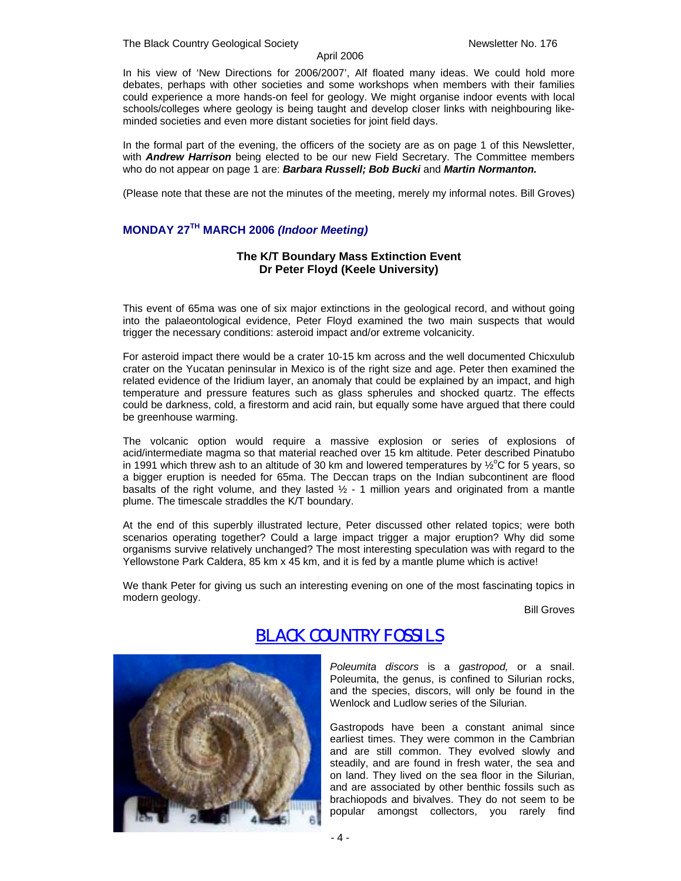The Black Country Geological Society Newsletter No. 176

#### April 2006

In his view of 'New Directions for 2006/2007', Alf floated many ideas. We could hold more debates, perhaps with other societies and some workshops when members with their families could experience a more hands-on feel for geology. We might organise indoor events with local schools/colleges where geology is being taught and develop closer links with neighbouring likeminded societies and even more distant societies for joint field days.

In the formal part of the evening, the officers of the society are as on page 1 of this Newsletter, with *Andrew Harrison* being elected to be our new Field Secretary. The Committee members who do not appear on page 1 are: *Barbara Russell; Bob Bucki* and *Martin Normanton.* 

(Please note that these are not the minutes of the meeting, merely my informal notes. Bill Groves)

### **MONDAY 27TH MARCH 2006** *(Indoor Meeting)*

### **The K/T Boundary Mass Extinction Event Dr Peter Floyd (Keele University)**

This event of 65ma was one of six major extinctions in the geological record, and without going into the palaeontological evidence, Peter Floyd examined the two main suspects that would trigger the necessary conditions: asteroid impact and/or extreme volcanicity.

For asteroid impact there would be a crater 10-15 km across and the well documented Chicxulub crater on the Yucatan peninsular in Mexico is of the right size and age. Peter then examined the related evidence of the Iridium layer, an anomaly that could be explained by an impact, and high temperature and pressure features such as glass spherules and shocked quartz. The effects could be darkness, cold, a firestorm and acid rain, but equally some have argued that there could be greenhouse warming.

The volcanic option would require a massive explosion or series of explosions of acid/intermediate magma so that material reached over 15 km altitude. Peter described Pinatubo in 1991 which threw ash to an altitude of 30 km and lowered temperatures by  $\frac{1}{2}^{\circ}$ C for 5 years, so a bigger eruption is needed for 65ma. The Deccan traps on the Indian subcontinent are flood basalts of the right volume, and they lasted  $1/2$  - 1 million years and originated from a mantle plume. The timescale straddles the K/T boundary.

At the end of this superbly illustrated lecture, Peter discussed other related topics; were both scenarios operating together? Could a large impact trigger a major eruption? Why did some organisms survive relatively unchanged? The most interesting speculation was with regard to the Yellowstone Park Caldera, 85 km x 45 km, and it is fed by a mantle plume which is active!

We thank Peter for giving us such an interesting evening on one of the most fascinating topics in modern geology.

Bill Groves



### *BLACK COUNTRY FOSSILS*

*Poleumita discors* is a *gastropod,* or a snail. Poleumita, the genus, is confined to Silurian rocks, and the species, discors, will only be found in the Wenlock and Ludlow series of the Silurian.

Gastropods have been a constant animal since earliest times. They were common in the Cambrian and are still common. They evolved slowly and steadily, and are found in fresh water, the sea and on land. They lived on the sea floor in the Silurian, and are associated by other benthic fossils such as brachiopods and bivalves. They do not seem to be popular amongst collectors, you rarely find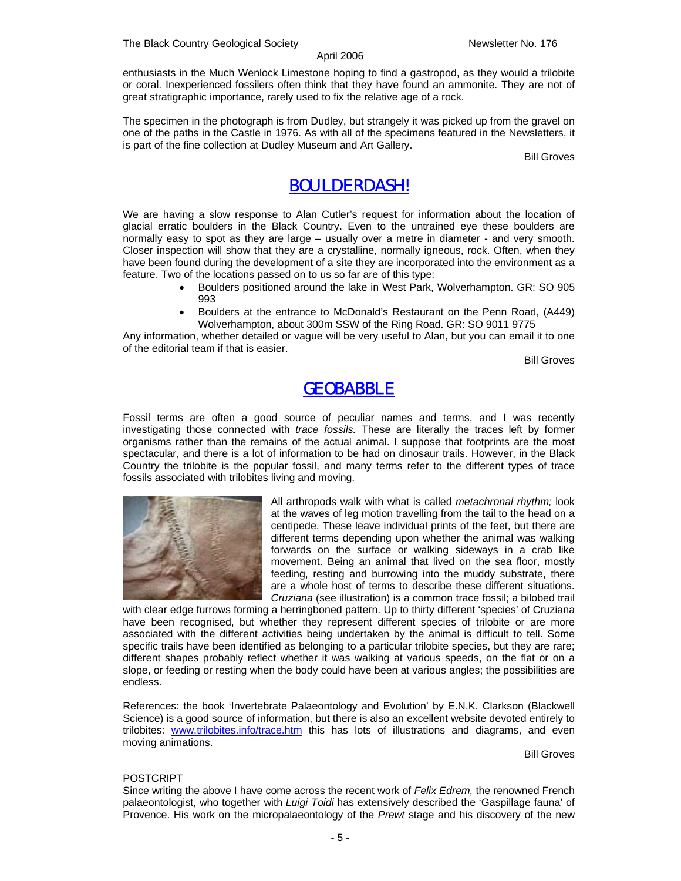enthusiasts in the Much Wenlock Limestone hoping to find a gastropod, as they would a trilobite or coral. Inexperienced fossilers often think that they have found an ammonite. They are not of great stratigraphic importance, rarely used to fix the relative age of a rock.

The specimen in the photograph is from Dudley, but strangely it was picked up from the gravel on one of the paths in the Castle in 1976. As with all of the specimens featured in the Newsletters, it is part of the fine collection at Dudley Museum and Art Gallery.

Bill Groves

### *BOULDERDASH!*

We are having a slow response to Alan Cutler's request for information about the location of glacial erratic boulders in the Black Country. Even to the untrained eye these boulders are normally easy to spot as they are large – usually over a metre in diameter - and very smooth. Closer inspection will show that they are a crystalline, normally igneous, rock. Often, when they have been found during the development of a site they are incorporated into the environment as a feature. Two of the locations passed on to us so far are of this type:

- Boulders positioned around the lake in West Park, Wolverhampton. GR: SO 905 993
- Boulders at the entrance to McDonald's Restaurant on the Penn Road, (A449) Wolverhampton, about 300m SSW of the Ring Road. GR: SO 9011 9775

Any information, whether detailed or vague will be very useful to Alan, but you can email it to one of the editorial team if that is easier.

Bill Groves

### *GEOBABBLE*

Fossil terms are often a good source of peculiar names and terms, and I was recently investigating those connected with *trace fossils.* These are literally the traces left by former organisms rather than the remains of the actual animal. I suppose that footprints are the most spectacular, and there is a lot of information to be had on dinosaur trails. However, in the Black Country the trilobite is the popular fossil, and many terms refer to the different types of trace fossils associated with trilobites living and moving.



All arthropods walk with what is called *metachronal rhythm;* look at the waves of leg motion travelling from the tail to the head on a centipede. These leave individual prints of the feet, but there are different terms depending upon whether the animal was walking forwards on the surface or walking sideways in a crab like movement. Being an animal that lived on the sea floor, mostly feeding, resting and burrowing into the muddy substrate, there are a whole host of terms to describe these different situations. *Cruziana* (see illustration) is a common trace fossil; a bilobed trail

with clear edge furrows forming a herringboned pattern. Up to thirty different 'species' of Cruziana have been recognised, but whether they represent different species of trilobite or are more associated with the different activities being undertaken by the animal is difficult to tell. Some specific trails have been identified as belonging to a particular trilobite species, but they are rare; different shapes probably reflect whether it was walking at various speeds, on the flat or on a slope, or feeding or resting when the body could have been at various angles; the possibilities are endless.

References: the book 'Invertebrate Palaeontology and Evolution' by E.N.K. Clarkson (Blackwell Science) is a good source of information, but there is also an excellent website devoted entirely to trilobites: www.trilobites.info/trace.htm this has lots of illustrations and diagrams, and even moving animations.

Bill Groves

### POSTCRIPT

Since writing the above I have come across the recent work of *Felix Edrem,* the renowned French palaeontologist, who together with *Luigi Toidi* has extensively described the 'Gaspillage fauna' of Provence. His work on the micropalaeontology of the *Prewt* stage and his discovery of the new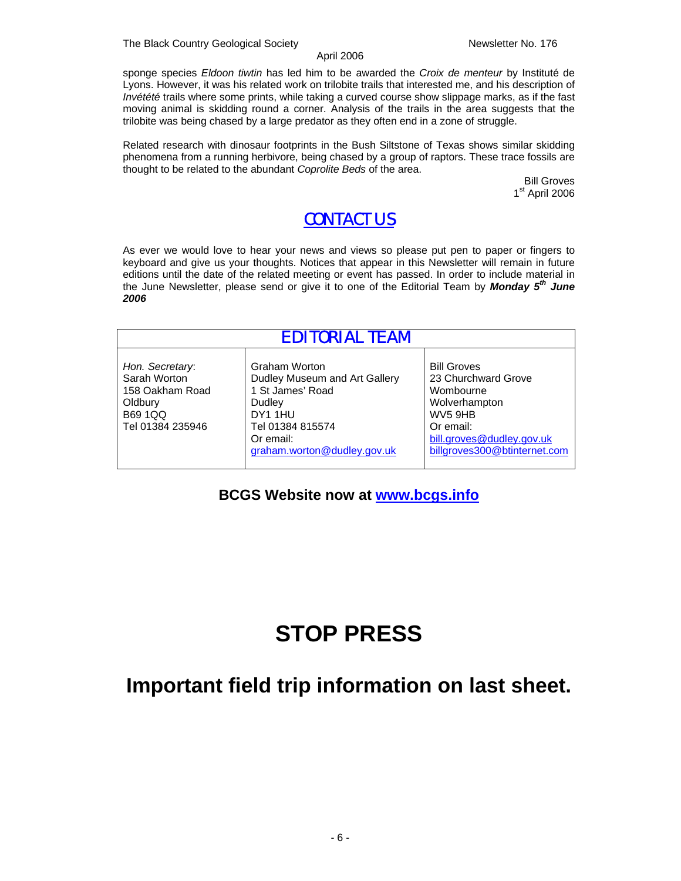sponge species *Eldoon tiwtin* has led him to be awarded the *Croix de menteur* by Instituté de Lyons. However, it was his related work on trilobite trails that interested me, and his description of *Invétété* trails where some prints, while taking a curved course show slippage marks, as if the fast moving animal is skidding round a corner. Analysis of the trails in the area suggests that the trilobite was being chased by a large predator as they often end in a zone of struggle.

Related research with dinosaur footprints in the Bush Siltstone of Texas shows similar skidding phenomena from a running herbivore, being chased by a group of raptors. These trace fossils are thought to be related to the abundant *Coprolite Beds* of the area.

> Bill Groves 1<sup>st</sup> April 2006

### *CONTACT US*

As ever we would love to hear your news and views so please put pen to paper or fingers to keyboard and give us your thoughts. Notices that appear in this Newsletter will remain in future editions until the date of the related meeting or event has passed. In order to include material in the June Newsletter, please send or give it to one of the Editorial Team by *Monday 5th June 2006* 

| EDITORIAL TEAM                                                                                      |                                                                                                                                                         |                                                                                                                                                                          |
|-----------------------------------------------------------------------------------------------------|---------------------------------------------------------------------------------------------------------------------------------------------------------|--------------------------------------------------------------------------------------------------------------------------------------------------------------------------|
| Hon. Secretary:<br>Sarah Worton<br>158 Oakham Road<br>Oldbury<br><b>B69 1QQ</b><br>Tel 01384 235946 | Graham Worton<br>Dudley Museum and Art Gallery<br>1 St James' Road<br>Dudley<br>DY1 1HU<br>Tel 01384 815574<br>Or email:<br>graham.worton@dudley.gov.uk | <b>Bill Groves</b><br>23 Churchward Grove<br>Wombourne<br>Wolverhampton<br>WV <sub>5</sub> 9HB<br>Or email:<br>bill.groves@dudley.gov.uk<br>billgroves300@btinternet.com |

### **BCGS Website now at www.bcgs.info**

# **STOP PRESS**

# **Important field trip information on last sheet.**